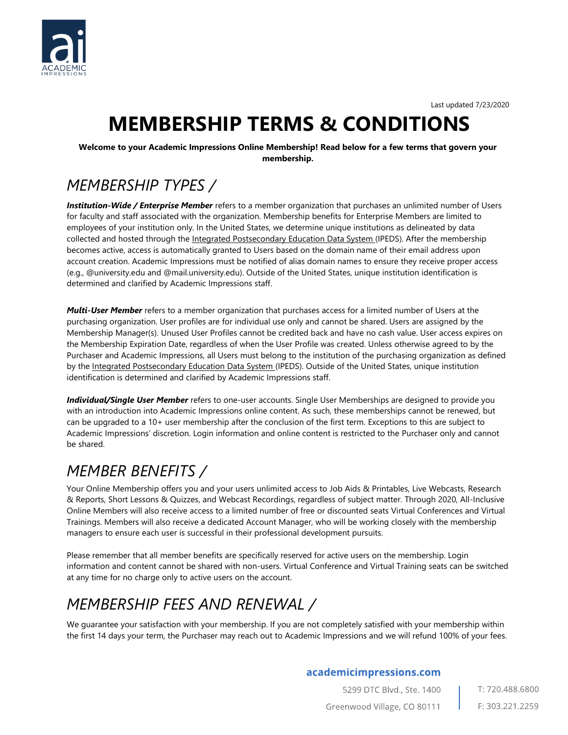

Last updated 7/23/2020

# **MEMBERSHIP TERMS & CONDITIONS**

**Welcome to your Academic Impressions Online Membership! Read below for a few terms that govern your membership.** 

### *MEMBERSHIP TYPES /*

*Institution-Wide / Enterprise Member* refers to a member organization that purchases an unlimited number of Users for faculty and staff associated with the organization. Membership benefits for Enterprise Members are limited to employees of your institution only. In the United States, we determine unique institutions as delineated by data collected and hosted through the Integrated Postsecondary Education Data System (IPEDS). After the membership becomes active, access is automatically granted to Users based on the domain name of their email address upon account creation. Academic Impressions must be notified of alias domain names to ensure they receive proper access (e.g., @university.edu and @mail.university.edu). Outside of the United States, unique institution identification is determined and clarified by Academic Impressions staff.

*Multi-User Member* refers to a member organization that purchases access for a limited number of Users at the purchasing organization. User profiles are for individual use only and cannot be shared. Users are assigned by the Membership Manager(s). Unused User Profiles cannot be credited back and have no cash value. User access expires on the Membership Expiration Date, regardless of when the User Profile was created. Unless otherwise agreed to by the Purchaser and Academic Impressions, all Users must belong to the institution of the purchasing organization as defined by the Integrated Postsecondary Education Data System (IPEDS). Outside of the United States, unique institution identification is determined and clarified by Academic Impressions staff.

*Individual/Single User Member* refers to one-user accounts. Single User Memberships are designed to provide you with an introduction into Academic Impressions online content. As such, these memberships cannot be renewed, but can be upgraded to a 10+ user membership after the conclusion of the first term. Exceptions to this are subject to Academic Impressions' discretion. Login information and online content is restricted to the Purchaser only and cannot be shared.

### *MEMBER BENEFITS /*

Your Online Membership offers you and your users unlimited access to Job Aids & Printables, Live Webcasts, Research & Reports, Short Lessons & Quizzes, and Webcast Recordings, regardless of subject matter. Through 2020, All-Inclusive Online Members will also receive access to a limited number of free or discounted seats Virtual Conferences and Virtual Trainings. Members will also receive a dedicated Account Manager, who will be working closely with the membership managers to ensure each user is successful in their professional development pursuits.

Please remember that all member benefits are specifically reserved for active users on the membership. Login information and content cannot be shared with non-users. Virtual Conference and Virtual Training seats can be switched at any time for no charge only to active users on the account.

# *MEMBERSHIP FEES AND RENEWAL /*

We guarantee your satisfaction with your membership. If you are not completely satisfied with your membership within the first 14 days your term, the Purchaser may reach out to Academic Impressions and we will refund 100% of your fees.

#### academicimpressions.com

5299 DTC Blvd., Ste. 1400 Greenwood Village, CO 80111